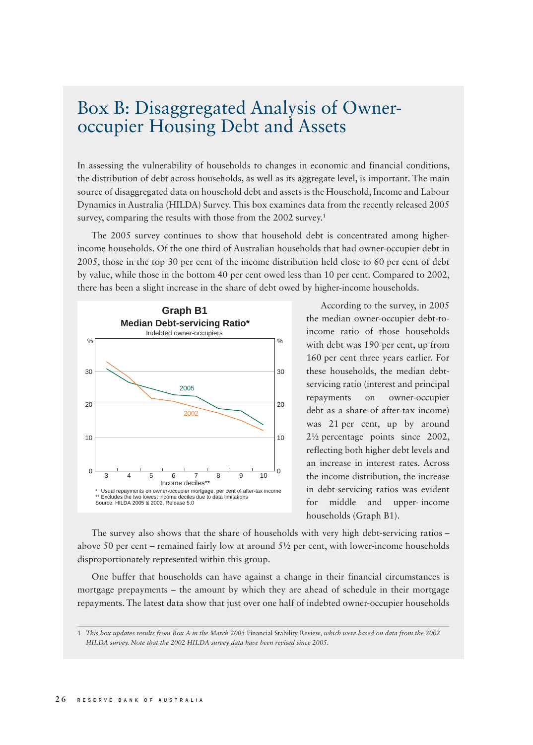## Box B: Disaggregated Analysis of Owneroccupier Housing Debt and Assets

In assessing the vulnerability of households to changes in economic and financial conditions, the distribution of debt across households, as well as its aggregate level, is important. The main source of disaggregated data on household debt and assets is the Household, Income and Labour Dynamics in Australia (HILDA) Survey. This box examines data from the recently released 2005 survey, comparing the results with those from the 2002 survey.<sup>1</sup>

The 2005 survey continues to show that household debt is concentrated among higherincome households. Of the one third of Australian households that had owner-occupier debt in 2005, those in the top 30 per cent of the income distribution held close to 60 per cent of debt by value, while those in the bottom 40 per cent owed less than 10 per cent. Compared to 2002, there has been a slight increase in the share of debt owed by higher-income households.



According to the survey, in 2005 the median owner-occupier debt-toincome ratio of those households with debt was 190 per cent, up from 160 per cent three years earlier. For these households, the median debtservicing ratio (interest and principal repayments on owner-occupier debt as a share of after-tax income) was 21 per cent, up by around 2½ percentage points since 2002, reflecting both higher debt levels and an increase in interest rates. Across the income distribution, the increase in debt-servicing ratios was evident for middle and upper- income households (Graph B1).

The survey also shows that the share of households with very high debt-servicing ratios – above 50 per cent – remained fairly low at around  $5\frac{1}{2}$  per cent, with lower-income households disproportionately represented within this group.

One buffer that households can have against a change in their financial circumstances is mortgage prepayments – the amount by which they are ahead of schedule in their mortgage repayments. The latest data show that just over one half of indebted owner-occupier households

<sup>1</sup> *This box updates results from Box A in the March 2005* Financial Stability Review*, which were based on data from the 2002 HILDA survey. Note that the 2002 HILDA survey data have been revised since 2005.*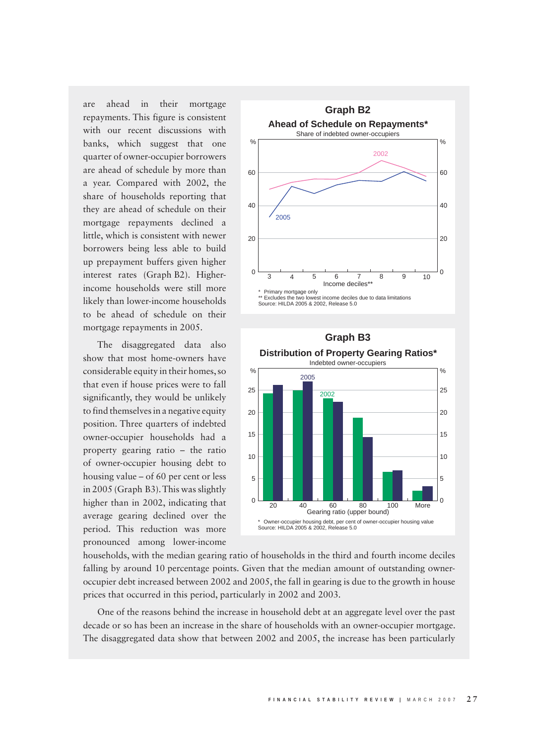are ahead in their mortgage repayments. This figure is consistent with our recent discussions with banks, which suggest that one quarter of owner-occupier borrowers are ahead of schedule by more than a year. Compared with 2002, the share of households reporting that they are ahead of schedule on their mortgage repayments declined a little, which is consistent with newer borrowers being less able to build up prepayment buffers given higher interest rates (Graph B2). Higherincome households were still more likely than lower-income households to be ahead of schedule on their mortgage repayments in 2005.

The disaggregated data also show that most home-owners have considerable equity in their homes, so that even if house prices were to fall significantly, they would be unlikely to find themselves in a negative equity position. Three quarters of indebted owner-occupier households had a property gearing ratio – the ratio of owner-occupier housing debt to housing value – of 60 per cent or less in 2005 (Graph B3). This was slightly higher than in 2002, indicating that average gearing declined over the period. This reduction was more pronounced among lower-income





households, with the median gearing ratio of households in the third and fourth income deciles falling by around 10 percentage points. Given that the median amount of outstanding owneroccupier debt increased between 2002 and 2005, the fall in gearing is due to the growth in house prices that occurred in this period, particularly in 2002 and 2003.

One of the reasons behind the increase in household debt at an aggregate level over the past decade or so has been an increase in the share of households with an owner-occupier mortgage. The disaggregated data show that between 2002 and 2005, the increase has been particularly